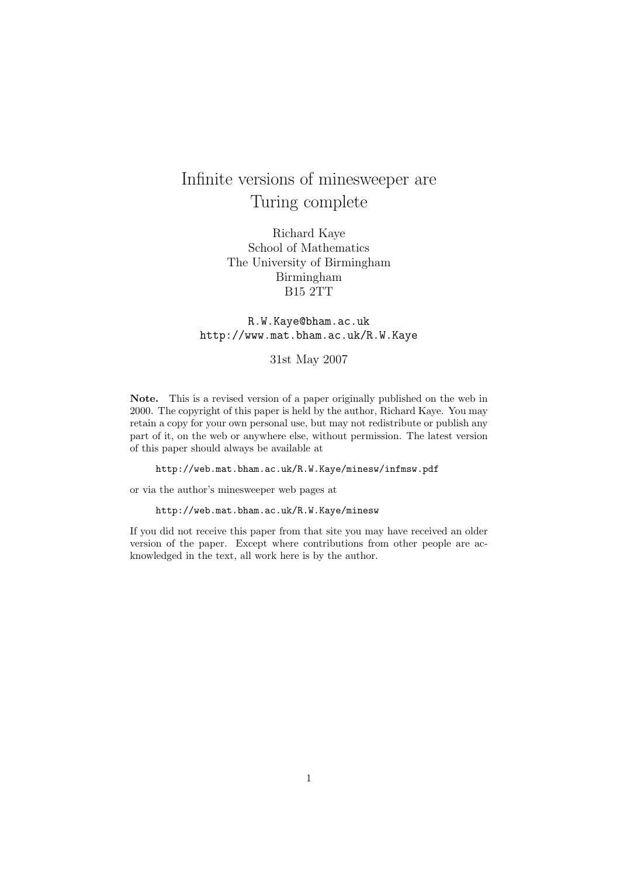## Infinite versions of minesweeper are Turing complete

Richard Kaye School of Mathematics The University of Birmingham Birmingham B15 2TT

## R.W.Kaye@bham.ac.uk http://www.mat.bham.ac.uk/R.W.Kaye

## 31st May 2007

Note. This is a revised version of a paper originally published on the web in 2000. The copyright of this paper is held by the author, Richard Kaye. You may retain a copy for your own personal use, but may not redistribute or publish any part of it, on the web or anywhere else, without permission. The latest version of this paper should always be available at

http://web.mat.bham.ac.uk/R.W.Kaye/minesw/infmsw.pdf

or via the author's minesweeper web pages at

http://web.mat.bham.ac.uk/R.W.Kaye/minesw

If you did not receive this paper from that site you may have received an older version of the paper. Except where contributions from other people are acknowledged in the text, all work here is by the author.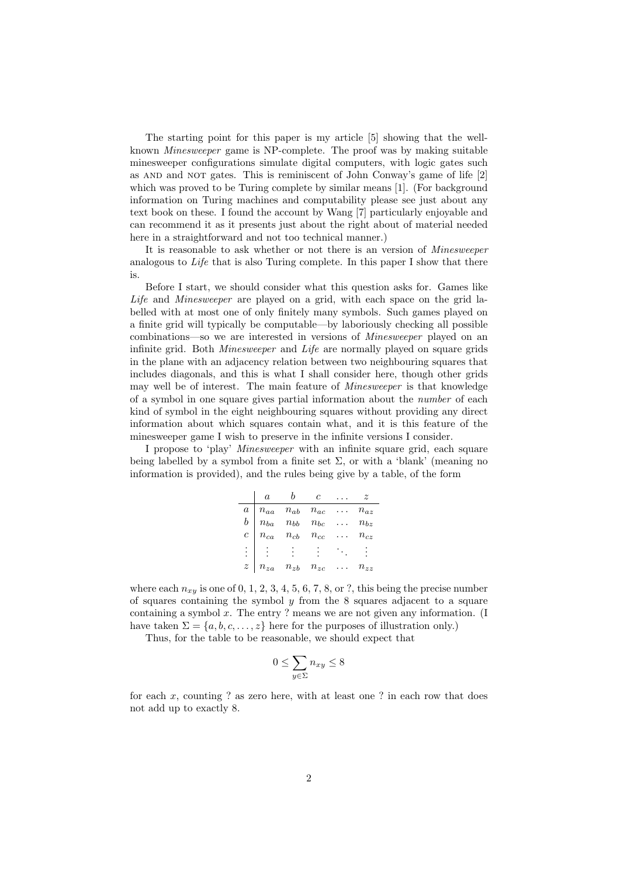The starting point for this paper is my article [5] showing that the wellknown Minesweeper game is NP-complete. The proof was by making suitable minesweeper configurations simulate digital computers, with logic gates such as and and not gates. This is reminiscent of John Conway's game of life [2] which was proved to be Turing complete by similar means [1]. (For background information on Turing machines and computability please see just about any text book on these. I found the account by Wang [7] particularly enjoyable and can recommend it as it presents just about the right about of material needed here in a straightforward and not too technical manner.)

It is reasonable to ask whether or not there is an version of Minesweeper analogous to Life that is also Turing complete. In this paper I show that there is.

Before I start, we should consider what this question asks for. Games like Life and Minesweeper are played on a grid, with each space on the grid labelled with at most one of only finitely many symbols. Such games played on a finite grid will typically be computable—by laboriously checking all possible combinations—so we are interested in versions of *Minesweeper* played on an infinite grid. Both Minesweeper and Life are normally played on square grids in the plane with an adjacency relation between two neighbouring squares that includes diagonals, and this is what I shall consider here, though other grids may well be of interest. The main feature of *Minesweeper* is that knowledge of a symbol in one square gives partial information about the number of each kind of symbol in the eight neighbouring squares without providing any direct information about which squares contain what, and it is this feature of the minesweeper game I wish to preserve in the infinite versions I consider.

I propose to 'play' Minesweeper with an infinite square grid, each square being labelled by a symbol from a finite set  $\Sigma$ , or with a 'blank' (meaning no information is provided), and the rules being give by a table, of the form

|                | $\overline{a}$                                                                                                                                             | $b$ c                              | $\cdots z$               |                   |
|----------------|------------------------------------------------------------------------------------------------------------------------------------------------------------|------------------------------------|--------------------------|-------------------|
|                |                                                                                                                                                            |                                    |                          | $n_{az}$          |
|                |                                                                                                                                                            |                                    |                          | $\ldots$ $n_{bz}$ |
|                | $\begin{array}{c cccc}\na & n_{aa} & n_{ab} & n_{ac} & \dots \\ b & n_{ba} & n_{bb} & n_{bc} & \dots \\ c & n_{ca} & n_{cb} & n_{cc} & \dots\n\end{array}$ |                                    |                          | $\ldots$ $n_{cz}$ |
|                | $\mathbb{R}^3 \times \mathbb{R}^3$                                                                                                                         | $\sim 3\%$                         | $\mathcal{M}_{\rm{max}}$ | $\bullet$         |
| $\overline{z}$ |                                                                                                                                                            | $n_{za} \quad n_{zb} \quad n_{zc}$ |                          | $n_{zz}$          |

where each  $n_{xy}$  is one of 0, 1, 2, 3, 4, 5, 6, 7, 8, or ?, this being the precise number of squares containing the symbol  $y$  from the 8 squares adjacent to a square containing a symbol  $x$ . The entry ? means we are not given any information. (I have taken  $\Sigma = \{a, b, c, \dots, z\}$  here for the purposes of illustration only.)

Thus, for the table to be reasonable, we should expect that

$$
0 \le \sum_{y \in \Sigma} n_{xy} \le 8
$$

for each  $x$ , counting ? as zero here, with at least one ? in each row that does not add up to exactly 8.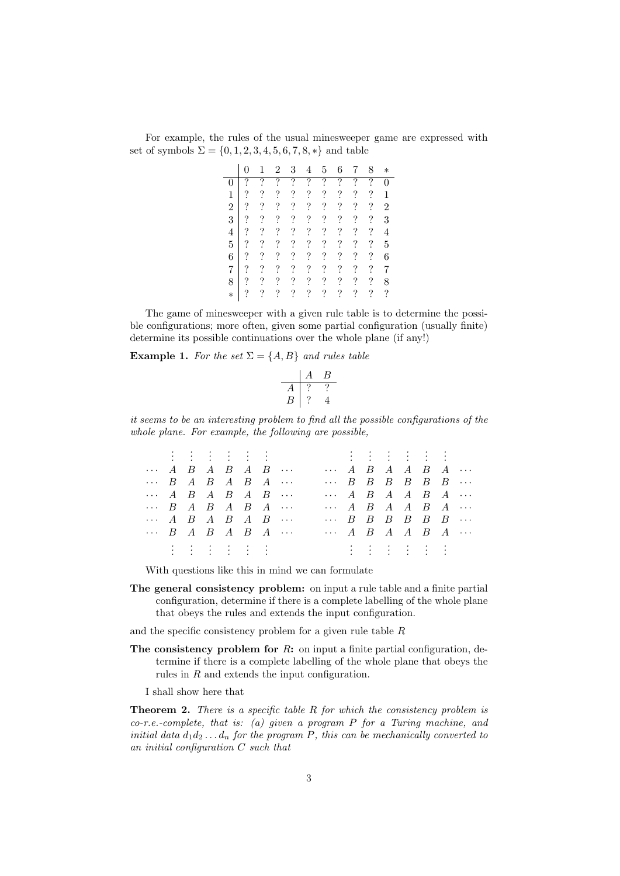| For example, the rules of the usual minesweeper game are expressed with |  |  |  |
|-------------------------------------------------------------------------|--|--|--|
| set of symbols $\Sigma = \{0, 1, 2, 3, 4, 5, 6, 7, 8, *\}$ and table    |  |  |  |

|                |   |                | $\overline{2}$ | 3                        | 4                        | 5                        | 6                        | 7                        | 8          | $\ast$                   |
|----------------|---|----------------|----------------|--------------------------|--------------------------|--------------------------|--------------------------|--------------------------|------------|--------------------------|
| 0              | ? | ?              | ?              | ?                        | $\overline{?}$           | ?                        | ?                        | $\overline{?}$           | ?          | $\overline{0}$           |
| 1              | ? | ?              | ?              | $\overline{\mathcal{C}}$ | $\ddot{?}$               | $\overline{\cdot}$       | $\overline{\cdot}$       | $\ddot{?}$               | $\ddot{.}$ | $\overline{1}$           |
| $\overline{2}$ | ? | ?              | $\ddot{?}$     | $\ddot{?}$               | $\ddot{?}$               | $\ddot{?}$               | $\ddot{?}$               | $\overline{\mathcal{E}}$ | $\ddot{?}$ | $\overline{2}$           |
| 3              | ? | $\ddot{.}$     | $\ddot{?}$     | $\overline{\mathcal{C}}$ | $\overline{\mathcal{C}}$ | $\ddot{?}$               | $\overline{\mathcal{C}}$ | $\overline{\mathcal{C}}$ | $\ddot{?}$ | 3                        |
| $\overline{4}$ | ? | $\ddot{?}$     | $\ddot{?}$     | $\ddot{?}$               | $\overline{\mathcal{L}}$ | $\overline{\mathcal{L}}$ | $\ddot{?}$               | $\overline{\mathcal{L}}$ | $\ddot{?}$ | $\overline{4}$           |
| 5              | ? | ?              | $\ddot{?}$     | $\ddot{?}$               | $\ddot{?}$               | $\ddot{?}$               | $\ddot{?}$               | $\ddot{?}$               | $\ddot{.}$ | $\overline{5}$           |
| 6              | ? | $\ddot{\cdot}$ | $\ddot{?}$     | $\ddot{?}$               | $\ddot{?}$               | $\ddot{?}$               | $\ddot{?}$               | $\overline{\mathcal{E}}$ | $\ddot{?}$ | 6                        |
| 7              | ? | ?              | ?              | $\ddot{?}$               | $\ddot{?}$               | ?                        | $\ddot{?}$               | $\overline{\cdot}$       | ?          | 7                        |
| 8              | ? | ?              | ?              | $\ddot{?}$               | $\ddot{?}$               | ?                        | $\ddot{?}$               | $\ddot{?}$               | $\ddot{?}$ | 8                        |
| $\ast$         |   |                | ?              | $\overline{\mathcal{C}}$ | $\ddot{?}$               | ?                        | $\overline{\cdot}$       | $\ddot{?}$               | $\ddot{.}$ | $\overline{\mathcal{C}}$ |

The game of minesweeper with a given rule table is to determine the possible configurations; more often, given some partial configuration (usually finite) determine its possible continuations over the whole plane (if any!)

**Example 1.** For the set  $\Sigma = \{A, B\}$  and rules table

$$
\begin{array}{c|cc}\n & A & B \\
\hline\nA & ? & ? \\
B & ? & 4\n\end{array}
$$

it seems to be an interesting problem to find all the possible configurations of the whole plane. For example, the following are possible,

|                               |  | $\label{eq:3.1} \begin{array}{cccccccccccccc} \text{1} & \text{1} & \text{1} & \text{1} & \text{1} & \text{1} & \text{1} & \text{1} & \text{1} & \text{1} & \text{1} & \text{1} & \text{1} & \text{1} & \text{1} & \text{1} & \text{1} & \text{1} & \text{1} & \text{1} & \text{1} & \text{1} & \text{1} & \text{1} & \text{1} & \text{1} & \text{1} & \text{1} & \text{1} & \text{1} & \text{1} & \text{1} & \text{1} & \text{$ |  |  |  |  |                                                                                                   |  |  |
|-------------------------------|--|----------------------------------------------------------------------------------------------------------------------------------------------------------------------------------------------------------------------------------------------------------------------------------------------------------------------------------------------------------------------------------------------------------------------------------|--|--|--|--|---------------------------------------------------------------------------------------------------|--|--|
| $\cdots$ A B A B A B $\cdots$ |  |                                                                                                                                                                                                                                                                                                                                                                                                                                  |  |  |  |  | $\cdots$ A B A A B A $\cdots$                                                                     |  |  |
|                               |  | $\cdots$ B A B A B A $\cdots$                                                                                                                                                                                                                                                                                                                                                                                                    |  |  |  |  | $\cdots$ B B B B B B $\cdots$                                                                     |  |  |
| $\cdots$ A B A B A B $\cdots$ |  |                                                                                                                                                                                                                                                                                                                                                                                                                                  |  |  |  |  | $\cdots$ A B A A B A $\cdots$                                                                     |  |  |
| $\cdots$ B A B A B A $\cdots$ |  |                                                                                                                                                                                                                                                                                                                                                                                                                                  |  |  |  |  | $\cdots$ A B A A B A $\cdots$                                                                     |  |  |
| $\cdots$ A B A B A B $\cdots$ |  |                                                                                                                                                                                                                                                                                                                                                                                                                                  |  |  |  |  | $\cdots$ B B B B B B $\cdots$                                                                     |  |  |
| $\cdots$ B A B A B A $\cdots$ |  |                                                                                                                                                                                                                                                                                                                                                                                                                                  |  |  |  |  | $\cdots$ A B A A B A $\cdots$                                                                     |  |  |
|                               |  | しんけいはんはんはんはんはん<br>the contract of the contract of the contract of the contract of                                                                                                                                                                                                                                                                                                                                                |  |  |  |  | しょうはつはつはつはつはつい<br>the contract of the contract of the contract of the contract of the contract of |  |  |

With questions like this in mind we can formulate

The general consistency problem: on input a rule table and a finite partial configuration, determine if there is a complete labelling of the whole plane that obeys the rules and extends the input configuration.

and the specific consistency problem for a given rule table  $R$ 

The consistency problem for  $R$ : on input a finite partial configuration, determine if there is a complete labelling of the whole plane that obeys the rules in R and extends the input configuration.

I shall show here that

**Theorem 2.** There is a specific table  $R$  for which the consistency problem is  $co-r.e.-complete, that is: (a) given a program P for a Turing machine, and$ initial data  $d_1 d_2 \ldots d_n$  for the program P, this can be mechanically converted to an initial configuration C such that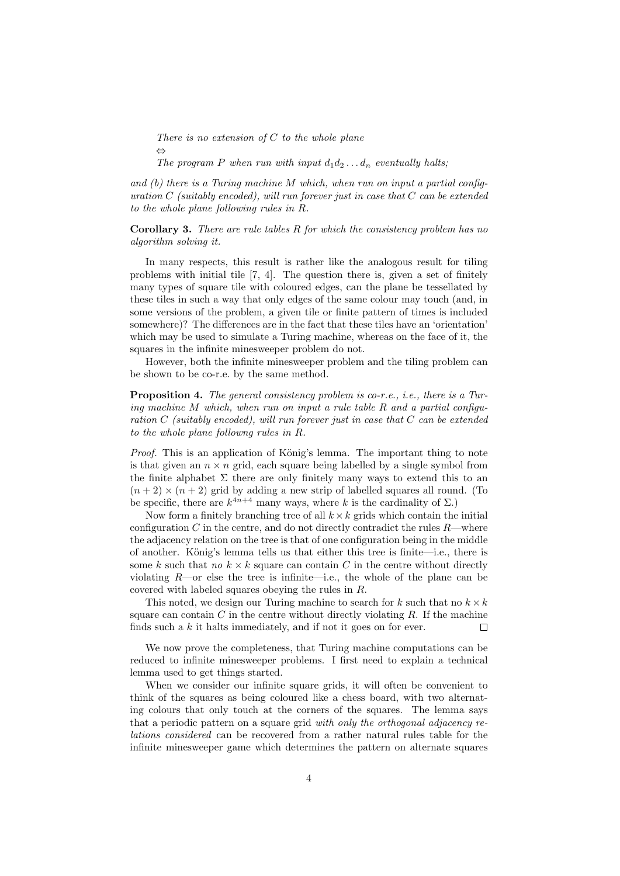There is no extension of  $C$  to the whole plane ⇔

The program P when run with input  $d_1 d_2 \ldots d_n$  eventually halts;

and  $(b)$  there is a Turing machine M which, when run on input a partial configuration  $C$  (suitably encoded), will run forever just in case that  $C$  can be extended to the whole plane following rules in R.

**Corollary 3.** There are rule tables  $R$  for which the consistency problem has no algorithm solving it.

In many respects, this result is rather like the analogous result for tiling problems with initial tile [7, 4]. The question there is, given a set of finitely many types of square tile with coloured edges, can the plane be tessellated by these tiles in such a way that only edges of the same colour may touch (and, in some versions of the problem, a given tile or finite pattern of times is included somewhere)? The differences are in the fact that these tiles have an 'orientation' which may be used to simulate a Turing machine, whereas on the face of it, the squares in the infinite minesweeper problem do not.

However, both the infinite minesweeper problem and the tiling problem can be shown to be co-r.e. by the same method.

Proposition 4. The general consistency problem is co-r.e., *i.e.*, there is a Turing machine M which, when run on input a rule table  $R$  and a partial configuration C (suitably encoded), will run forever just in case that  $C$  can be extended to the whole plane followng rules in R.

*Proof.* This is an application of König's lemma. The important thing to note is that given an  $n \times n$  grid, each square being labelled by a single symbol from the finite alphabet  $\Sigma$  there are only finitely many ways to extend this to an  $(n+2) \times (n+2)$  grid by adding a new strip of labelled squares all round. (To be specific, there are  $k^{4n+4}$  many ways, where k is the cardinality of  $\Sigma$ .)

Now form a finitely branching tree of all  $k \times k$  grids which contain the initial configuration  $C$  in the centre, and do not directly contradict the rules  $R$ —where the adjacency relation on the tree is that of one configuration being in the middle of another. König's lemma tells us that either this tree is finite—i.e., there is some k such that no  $k \times k$  square can contain C in the centre without directly violating  $R$ —or else the tree is infinite—i.e., the whole of the plane can be covered with labeled squares obeying the rules in R.

This noted, we design our Turing machine to search for k such that no  $k \times k$ square can contain  $C$  in the centre without directly violating  $R$ . If the machine finds such a  $k$  it halts immediately, and if not it goes on for ever.  $\Box$ 

We now prove the completeness, that Turing machine computations can be reduced to infinite minesweeper problems. I first need to explain a technical lemma used to get things started.

When we consider our infinite square grids, it will often be convenient to think of the squares as being coloured like a chess board, with two alternating colours that only touch at the corners of the squares. The lemma says that a periodic pattern on a square grid with only the orthogonal adjacency relations considered can be recovered from a rather natural rules table for the infinite minesweeper game which determines the pattern on alternate squares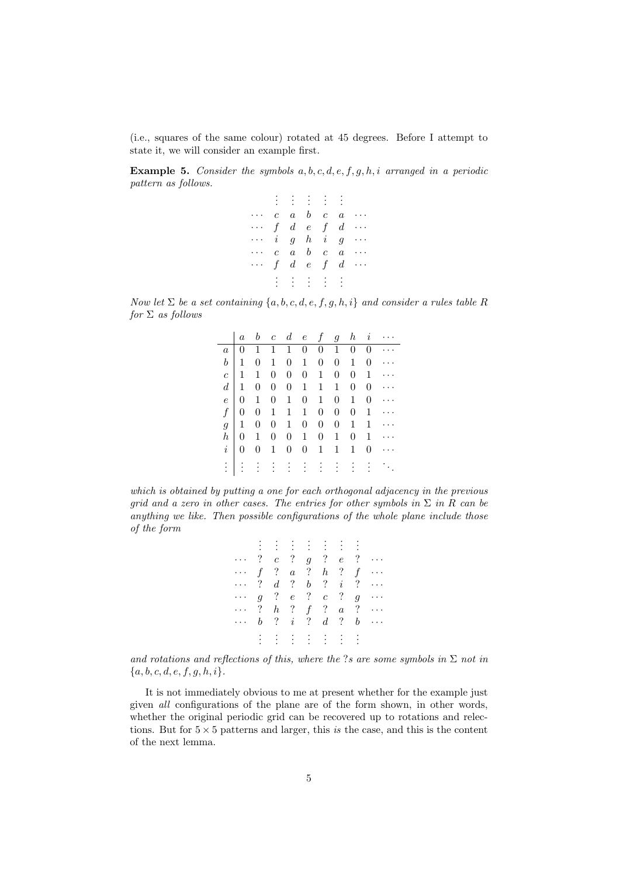(i.e., squares of the same colour) rotated at 45 degrees. Before I attempt to state it, we will consider an example first.

**Example 5.** Consider the symbols  $a, b, c, d, e, f, g, h, i$  arranged in a periodic pattern as follows.

|                             |  | $-3 + 3 + 3 + 3$        |  |                                                  |
|-----------------------------|--|-------------------------|--|--------------------------------------------------|
|                             |  |                         |  | $c \ a \ b \ c \ a \ \cdots$                     |
| $\cdots$ f d e f d $\cdots$ |  |                         |  |                                                  |
| $\cdots$ igh ig $\cdots$    |  |                         |  |                                                  |
|                             |  |                         |  | $c \quad a \quad b \quad c \quad a \quad \cdots$ |
| $\cdots$                    |  | $f \, d \, e \, f \, d$ |  | $\ldots$                                         |
|                             |  | B. B. B. B. B           |  |                                                  |

Now let  $\Sigma$  be a set containing  $\{a, b, c, d, e, f, g, h, i\}$  and consider a rules table R  $for \Sigma$  as follows

|   |                                                     |           |                     |                                           |           |                     | $a\quad b\quad c\quad d\quad e\quad f\quad g\quad h\quad i\quad \cdots$ |
|---|-----------------------------------------------------|-----------|---------------------|-------------------------------------------|-----------|---------------------|-------------------------------------------------------------------------|
|   |                                                     |           |                     |                                           |           |                     | a   0 1 1 1 0 0 1 0 0                                                   |
|   | $b \begin{pmatrix} 1 & 0 & 1 & 0 & 1 \end{pmatrix}$ |           |                     |                                           |           | $0 \quad 0 \quad 1$ | $0 \cdots$                                                              |
|   | $c \mid 1 \mid 1$                                   |           |                     | $0 \t 0 \t 0 \t 1 \t 0$                   |           |                     | $0 \quad 1 \quad \cdots$                                                |
|   | $d \mid 1$                                          |           |                     | $0 \t 0 \t 0 \t 1 \t 1 \t 1$              |           | $\overline{0}$      | $0 \cdots$                                                              |
|   | $e \mid 0 \quad 1$                                  |           |                     | $0 \t1 \t0 \t1 \t0 \t1$                   |           |                     | $0 \cdots$                                                              |
|   |                                                     |           |                     | $f \vert 0 \, 0 \, 1 \, 1 \, 1 \, 0 \, 0$ |           |                     | $0 \quad 1 \quad \cdots$                                                |
|   | $g \mid 1$                                          |           | $0 \quad 0 \quad 1$ | $0 \quad 0 \quad 0 \quad 1$               |           |                     | $1 \cdots$                                                              |
| h |                                                     | $0\quad1$ | $0 \quad 0 \quad 1$ |                                           | $0\quad1$ |                     | $0 \quad 1 \quad \cdots$                                                |
|   | $i \mid 0$                                          | $\theta$  | $1 \quad 0$         | $0 \t1 \t1 \t1$                           |           |                     | $0 \cdots$                                                              |
|   |                                                     |           |                     |                                           |           |                     | <u>:   : : : : : : : : : : .</u>                                        |

which is obtained by putting a one for each orthogonal adjacency in the previous grid and a zero in other cases. The entries for other symbols in  $\Sigma$  in R can be anything we like. Then possible configurations of the whole plane include those of the form

| $\cdots$ ? c ? g ? e ? $\cdots$       |  |  |         |  |  |
|---------------------------------------|--|--|---------|--|--|
| $\cdots$ f ? a ? h ? f $\cdots$       |  |  |         |  |  |
| $\cdots$ ? $d$ ? $b$ ? $i$ ? $\cdots$ |  |  |         |  |  |
| $\cdots$ g ? e ? c ? g $\cdots$       |  |  |         |  |  |
| $\cdots$ ? $h$ ? $f$ ? $a$ ? $\cdots$ |  |  |         |  |  |
| $\cdots$ b ? i ? d ? b $\cdots$       |  |  |         |  |  |
|                                       |  |  | 主主主主主主主 |  |  |
|                                       |  |  |         |  |  |

and rotations and reflections of this, where the ?s are some symbols in  $\Sigma$  not in  ${a, b, c, d, e, f, g, h, i}.$ 

It is not immediately obvious to me at present whether for the example just given all configurations of the plane are of the form shown, in other words, whether the original periodic grid can be recovered up to rotations and relections. But for  $5 \times 5$  patterns and larger, this is the case, and this is the content of the next lemma.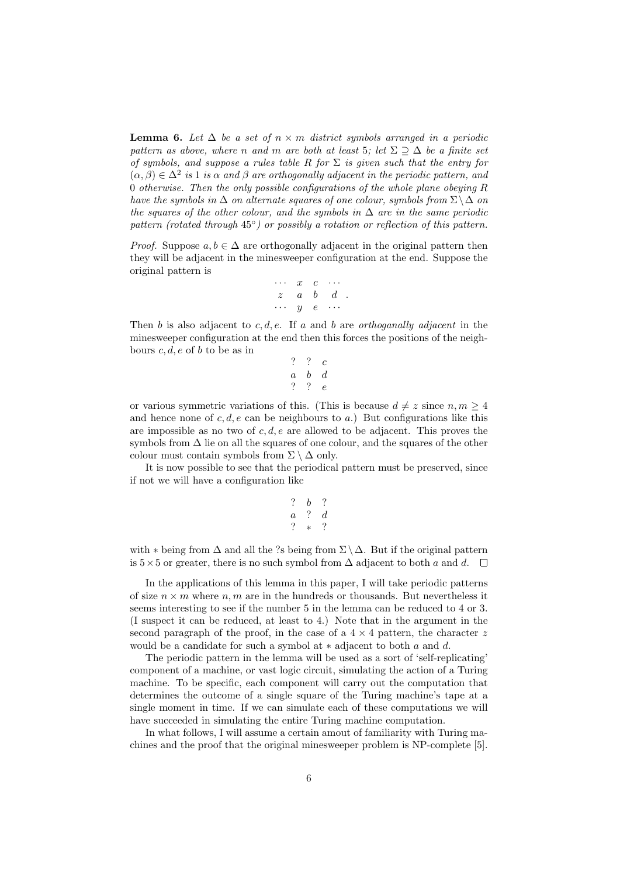**Lemma 6.** Let  $\Delta$  be a set of  $n \times m$  district symbols arranged in a periodic pattern as above, where n and m are both at least 5; let  $\Sigma \supseteq \Delta$  be a finite set of symbols, and suppose a rules table R for  $\Sigma$  is given such that the entry for  $(\alpha, \beta) \in \Delta^2$  is 1 is  $\alpha$  and  $\beta$  are orthogonally adjacent in the periodic pattern, and 0 otherwise. Then the only possible configurations of the whole plane obeying R have the symbols in  $\Delta$  on alternate squares of one colour, symbols from  $\Sigma \setminus \Delta$  on the squares of the other colour, and the symbols in  $\Delta$  are in the same periodic pattern (rotated through  $45^{\circ}$ ) or possibly a rotation or reflection of this pattern.

*Proof.* Suppose  $a, b \in \Delta$  are orthogonally adjacent in the original pattern then they will be adjacent in the minesweeper configuration at the end. Suppose the original pattern is

$$
\begin{array}{ccccc}\cdots&x&c&\cdots\\z&a&b&d\\ \cdots&y&e&\cdots\end{array}.
$$

Then b is also adjacent to c, d, e. If a and b are *orthoganally adjacent* in the minesweeper configuration at the end then this forces the positions of the neighbours  $c, d, e$  of b to be as in

$$
\begin{array}{ccccc}\n? & ? & c \\
a & b & d \\
? & ? & e\n\end{array}
$$

or various symmetric variations of this. (This is because  $d \neq z$  since  $n, m \geq 4$ and hence none of c, d, e can be neighbours to a.) But configurations like this are impossible as no two of  $c, d, e$  are allowed to be adjacent. This proves the symbols from  $\Delta$  lie on all the squares of one colour, and the squares of the other colour must contain symbols from  $\Sigma \setminus \Delta$  only.

It is now possible to see that the periodical pattern must be preserved, since if not we will have a configuration like

$$
\begin{array}{ccccc}\n? & b & ? \\
a & ? & d \\
? & * & ? \\
\end{array}
$$

with  $*$  being from  $\Delta$  and all the ?s being from  $\Sigma \setminus \Delta$ . But if the original pattern is  $5\times 5$  or greater, there is no such symbol from  $\Delta$  adjacent to both a and d.  $\square$ 

In the applications of this lemma in this paper, I will take periodic patterns of size  $n \times m$  where  $n, m$  are in the hundreds or thousands. But nevertheless it seems interesting to see if the number 5 in the lemma can be reduced to 4 or 3. (I suspect it can be reduced, at least to 4.) Note that in the argument in the second paragraph of the proof, in the case of a  $4 \times 4$  pattern, the character z would be a candidate for such a symbol at  $*$  adjacent to both a and d.

The periodic pattern in the lemma will be used as a sort of 'self-replicating' component of a machine, or vast logic circuit, simulating the action of a Turing machine. To be specific, each component will carry out the computation that determines the outcome of a single square of the Turing machine's tape at a single moment in time. If we can simulate each of these computations we will have succeeded in simulating the entire Turing machine computation.

In what follows, I will assume a certain amout of familiarity with Turing machines and the proof that the original minesweeper problem is NP-complete [5].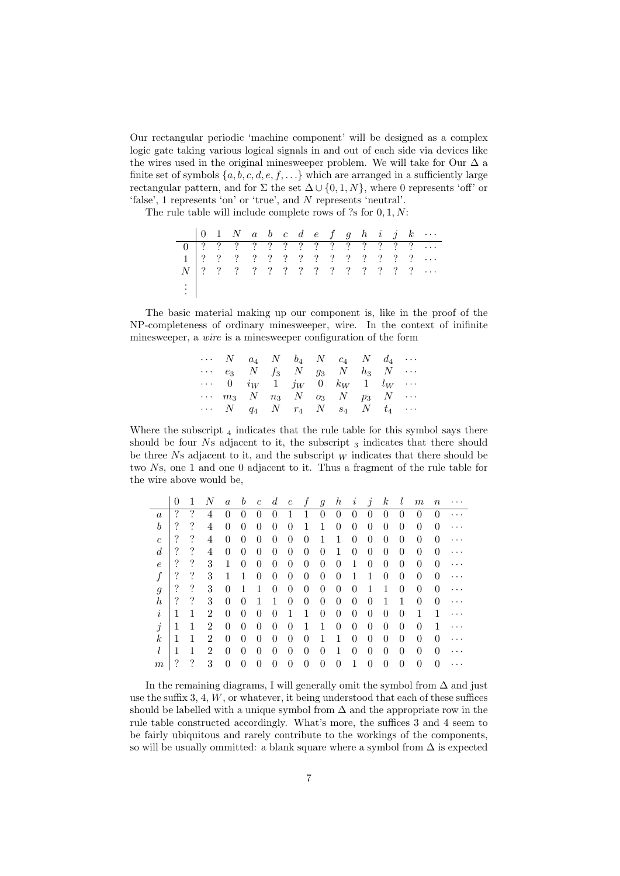Our rectangular periodic 'machine component' will be designed as a complex logic gate taking various logical signals in and out of each side via devices like the wires used in the original minesweeper problem. We will take for Our  $\Delta$  a finite set of symbols  $\{a, b, c, d, e, f, \ldots\}$  which are arranged in a sufficiently large rectangular pattern, and for  $\Sigma$  the set  $\Delta \cup \{0, 1, N\}$ , where 0 represents 'off' or 'false', 1 represents 'on' or 'true', and N represents 'neutral'.

The rule table will include complete rows of  $?s$  for  $0, 1, N$ :

|                             |  |  |  |  |  |  |  | $1 \mid ? \quad ? \quad ? \quad ? \quad ? \quad ? \quad ? \quad ? \quad ? \quad ? \quad ? \quad ? \quad . \ldots$ |
|-----------------------------|--|--|--|--|--|--|--|-------------------------------------------------------------------------------------------------------------------|
|                             |  |  |  |  |  |  |  | $N$   ? ? ? ? ? ? ? ? ? ? ? ? ? ?                                                                                 |
| $\rightarrow$ $\rightarrow$ |  |  |  |  |  |  |  |                                                                                                                   |

The basic material making up our component is, like in the proof of the NP-completeness of ordinary minesweeper, wire. In the context of inifinite minesweeper, a wire is a minesweeper configuration of the form

|  |  |  | $\cdots$ N $a_4$ N $b_4$ N $c_4$ N $d_4$ $\cdots$                                     |  |  |
|--|--|--|---------------------------------------------------------------------------------------|--|--|
|  |  |  | $\cdots$ e <sub>3</sub> N f <sub>3</sub> N g <sub>3</sub> N h <sub>3</sub> N $\cdots$ |  |  |
|  |  |  | $\cdots$ 0 $i_W$ 1 $j_W$ 0 $k_W$ 1 $l_W$ $\cdots$                                     |  |  |
|  |  |  | $\cdots$ $m_3$ $N$ $n_3$ $N$ $o_3$ $N$ $p_3$ $N$ $\cdots$                             |  |  |
|  |  |  | $\cdots$ N $q_4$ N $r_4$ N $s_4$ N $t_4$ $\cdots$                                     |  |  |

Where the subscript  $_4$  indicates that the rule table for this symbol says there should be four  $Ns$  adjacent to it, the subscript  $_3$  indicates that there should be three Ns adjacent to it, and the subscript  $_W$  indicates that there should be two Ns, one 1 and one 0 adjacent to it. Thus a fragment of the rule table for the wire above would be,

|                  | 0 |   | Ν              | $\alpha$       | b              | $\boldsymbol{c}$ | $\boldsymbol{d}$ | $\epsilon$ | f        | 9        | $\boldsymbol{h}$ | $\imath$       | $\jmath$         | $_{k}$ |                | $\,m$    | $\it n$          |   |
|------------------|---|---|----------------|----------------|----------------|------------------|------------------|------------|----------|----------|------------------|----------------|------------------|--------|----------------|----------|------------------|---|
| $\boldsymbol{a}$ | ? | ? | 4              | 0              | $\theta$       | 0                | 0                |            |          | $\theta$ | 0                | $\theta$       | $\theta$         | 0      | $\mathbf{0}$   | $\theta$ | $\left( \right)$ |   |
| $\boldsymbol{b}$ | ? | ? | 4              | 0              | 0              | 0                | $\theta$         | 0          | 1        | 1        | 0                | 0              | 0                | 0      | 0              | 0        | 0                |   |
| $\boldsymbol{c}$ | ? | ? | 4              | 0              | $\theta$       | 0                | 0                | 0          | $\theta$ |          | 1                | $\overline{0}$ | $\overline{0}$   | 0      | $\overline{0}$ | $\theta$ | 0                | . |
| $\boldsymbol{d}$ | ? | ? | 4              | 0              | 0              | 0                | 0                | 0          | $\theta$ | $\theta$ | 1                | 0              | $\boldsymbol{0}$ | 0      | 0              | $\theta$ | 0                |   |
| $\,e\,$          | ? | ? | 3              | 1              | 0              | 0                | 0                | 0          | $\theta$ | $\theta$ | 0                | 1              | $\theta$         | 0      | 0              | $\theta$ | 0                |   |
| $\boldsymbol{f}$ | ? | ? | 3              | 1              | 1              | 0                | 0                | 0          | 0        | $\theta$ | 0                | 1              | 1                | 0      | 0              | $\theta$ | 0                | . |
| g                | ? | ? | 3              | $\overline{0}$ | 1              |                  | 0                | 0          | $\theta$ | $\theta$ | 0                | $\theta$       |                  |        | 0              | $\theta$ | 0                | . |
| $\boldsymbol{h}$ | ? | ? | 3              | 0              | 0              |                  |                  | 0          | $\theta$ | $\theta$ | 0                | 0              | $\theta$         |        |                | 0        | 0                |   |
| $\it i$          | 1 | 1 | $\overline{2}$ | $\overline{0}$ | $\overline{0}$ | 0                | 0                | 1          | 1        | $\theta$ | $\theta$         | $\overline{0}$ | $\theta$         | 0      | 0              | 1        |                  |   |
| j                | 1 | 1 | 2              | $\overline{0}$ | 0              | 0                | 0                | 0          | 1        | 1        | 0                | $\overline{0}$ | $\theta$         | 0      | 0              | $\theta$ | 1                |   |
| $\boldsymbol{k}$ | 1 | 1 | 2              | 0              | 0              | 0                | 0                | 0          | $\theta$ | 1        | 1                | $\overline{0}$ | $\boldsymbol{0}$ | 0      | 0              | $\theta$ | 0                |   |
| l                | 1 | 1 | $\overline{2}$ | $\overline{0}$ | $\theta$       | 0                | 0                | 0          | $\theta$ | $\theta$ | 1                | $\overline{0}$ | $\overline{0}$   | 0      | $\overline{0}$ | $\theta$ | 0                |   |
| $\,m$            | ? | ? | 3              | $\theta$       | 0              | 0                | 0                | 0          | $\theta$ | $\theta$ | 0                |                | $\theta$         | 0      | 0              | 0        | 0                |   |

In the remaining diagrams, I will generally omit the symbol from  $\Delta$  and just use the suffix  $3, 4, W$ , or whatever, it being understood that each of these suffices should be labelled with a unique symbol from  $\Delta$  and the appropriate row in the rule table constructed accordingly. What's more, the suffices 3 and 4 seem to be fairly ubiquitous and rarely contribute to the workings of the components, so will be usually ommitted: a blank square where a symbol from  $\Delta$  is expected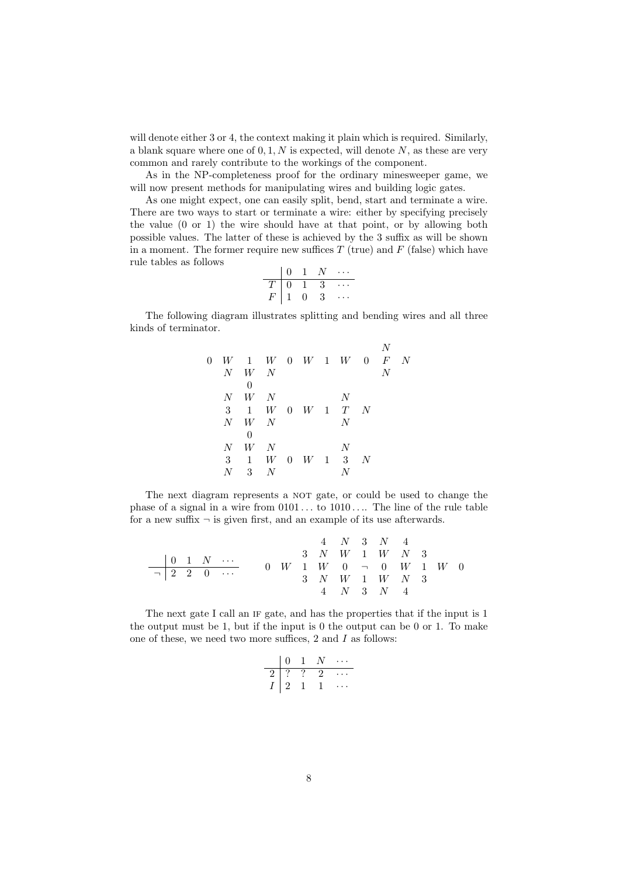will denote either 3 or 4, the context making it plain which is required. Similarly, a blank square where one of  $0, 1, N$  is expected, will denote  $N$ , as these are very common and rarely contribute to the workings of the component.

As in the NP-completeness proof for the ordinary minesweeper game, we will now present methods for manipulating wires and building logic gates.

As one might expect, one can easily split, bend, start and terminate a wire. There are two ways to start or terminate a wire: either by specifying precisely the value (0 or 1) the wire should have at that point, or by allowing both possible values. The latter of these is achieved by the 3 suffix as will be shown in a moment. The former require new suffices  $T$  (true) and  $F$  (false) which have rule tables as follows

$$
\begin{array}{c|cccc}\n & 0 & 1 & N & \cdots \\
\hline\nT & 0 & 1 & 3 & \cdots \\
F & 1 & 0 & 3 & \cdots\n\end{array}
$$

The following diagram illustrates splitting and bending wires and all three kinds of terminator.

|         |         |                                 |   |  |                     |   | N              |  |
|---------|---------|---------------------------------|---|--|---------------------|---|----------------|--|
| $\rm 0$ |         | $W$ 1 $W$ 0 $W$ 1 $W$ 0 $F$ $N$ |   |  |                     |   |                |  |
|         |         | $N$ W $N$                       |   |  |                     |   | $\overline{N}$ |  |
|         |         | $\theta$                        |   |  |                     |   |                |  |
|         |         | $N$ W $N$                       |   |  | N                   |   |                |  |
|         | 3       | 1                               |   |  | $W$ 0 $W$ 1 $T$ $N$ |   |                |  |
|         | $N_{-}$ | $W$ N                           |   |  | N                   |   |                |  |
|         |         | $\theta$                        |   |  |                     |   |                |  |
|         | $N_{-}$ | $W$ N                           |   |  | N                   |   |                |  |
|         | 3       | 1                               |   |  | $W$ 0 $W$ 1 3       | N |                |  |
|         |         | 3                               | N |  |                     |   |                |  |
|         |         |                                 |   |  |                     |   |                |  |

The next diagram represents a NOT gate, or could be used to change the phase of a signal in a wire from  $0101...$  to  $1010...$  The line of the rule table for a new suffix  $\neg$  is given first, and an example of its use afterwards.

$$
\begin{array}{c|ccccccccc} & & & & & & 4 & N & 3 & N & 4 \\ \hline & 0 & 1 & N & \cdots & & & 3 & N & W & 1 & W & N & 3 \\ \hline & & 2 & 2 & 0 & \cdots & & 0 & W & 1 & W & 0 & \neg & 0 & W & 1 & W & 0 \\ & & & & & 3 & N & W & 1 & W & N & 3 & \\ & & & & & 4 & N & 3 & N & 4 & & \end{array}
$$

The next gate I call an IF gate, and has the properties that if the input is 1 the output must be 1, but if the input is 0 the output can be 0 or 1. To make one of these, we need two more suffices, 2 and I as follows:

$$
\begin{array}{c|cccc}\n & 0 & 1 & N & \cdots \\
\hline\n2 & ? & ? & 2 & \cdots \\
I & 2 & 1 & 1 & \cdots\n\end{array}
$$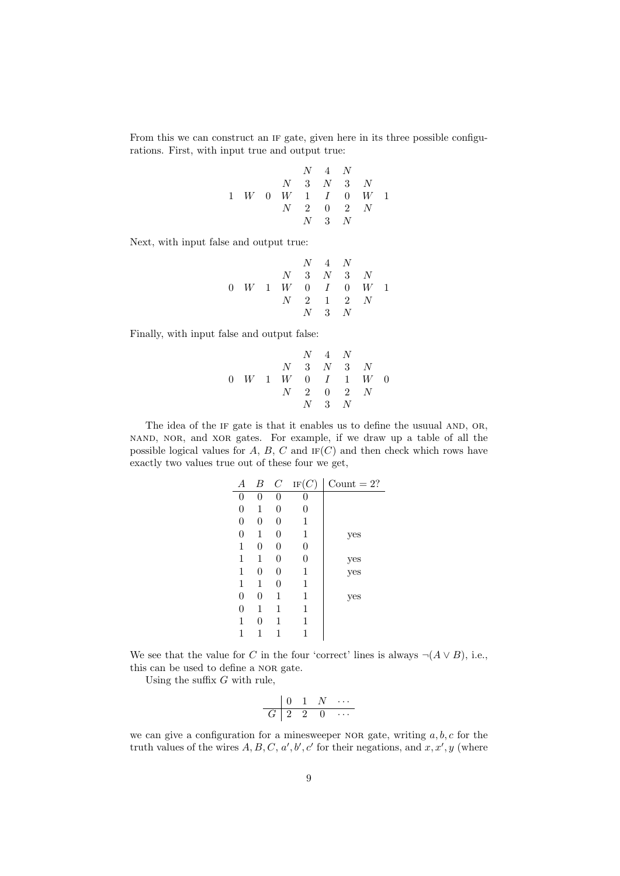From this we can construct an if gate, given here in its three possible configurations. First, with input true and output true:

$$
\begin{array}{ccccccccc} & & & N & 4 & N \\ & & N & 3 & N & 3 & N \\ 1 & W & 0 & W & 1 & I & 0 & W & 1 \\ & & N & 2 & 0 & 2 & N & \\ & & & N & 3 & N & & \end{array}
$$

Next, with input false and output true:

$$
\begin{array}{ccccccccc} & & & & N & 4 & N \\ & & N & 3 & N & 3 & N \\ 0 & W & 1 & W & 0 & I & 0 & W & 1 \\ & & N & 2 & 1 & 2 & N & \\ & & & N & 3 & N & & \end{array}
$$

Finally, with input false and output false:

$$
\begin{array}{ccccccccc} & & & N & 4 & N \\ & & N & 3 & N & 3 & N \\ 0 & W & 1 & W & 0 & I & 1 & W & 0 \\ & & N & 2 & 0 & 2 & N & \\ & & & N & 3 & N & & \end{array}
$$

The idea of the IF gate is that it enables us to define the usuual AND, OR, nand, nor, and xor gates. For example, if we draw up a table of all the possible logical values for  $A, B, C$  and  $IF(C)$  and then check which rows have exactly two values true out of these four we get,

| А                | В              | $\cal C$ | IF(C)            | Count $= 2$ ? |
|------------------|----------------|----------|------------------|---------------|
| $\boldsymbol{0}$ | 0              | 0        | 0                |               |
| $\boldsymbol{0}$ | 1              | 0        | 0                |               |
| $\boldsymbol{0}$ | $\overline{0}$ | 0        | 1                |               |
| $\boldsymbol{0}$ | 1              | 0        | 1                | yes           |
| 1                | 0              | 0        | $\boldsymbol{0}$ |               |
| 1                | 1              | 0        | 0                |               |
| 1                | 0              | 0        | 1                | yes<br>yes    |
| 1                | 1              | 0        | 1                |               |
| $\boldsymbol{0}$ | $\overline{0}$ | 1        | 1                | yes           |
| $\boldsymbol{0}$ | 1              | 1        | 1                |               |
| 1                | 0              | 1        | 1                |               |
| 1                |                | 1        | 1                |               |

We see that the value for C in the four 'correct' lines is always  $\neg(A \lor B)$ , i.e., this can be used to define a NOR gate.

Using the suffix  $G$  with rule,

$$
\begin{array}{c|cccc}\n & 0 & 1 & N & \cdots \\
\hline\nG & 2 & 2 & 0 & \cdots\n\end{array}
$$

we can give a configuration for a minesweeper NOR gate, writing  $a, b, c$  for the truth values of the wires  $A, B, C, a', b', c'$  for their negations, and  $x, x', y$  (where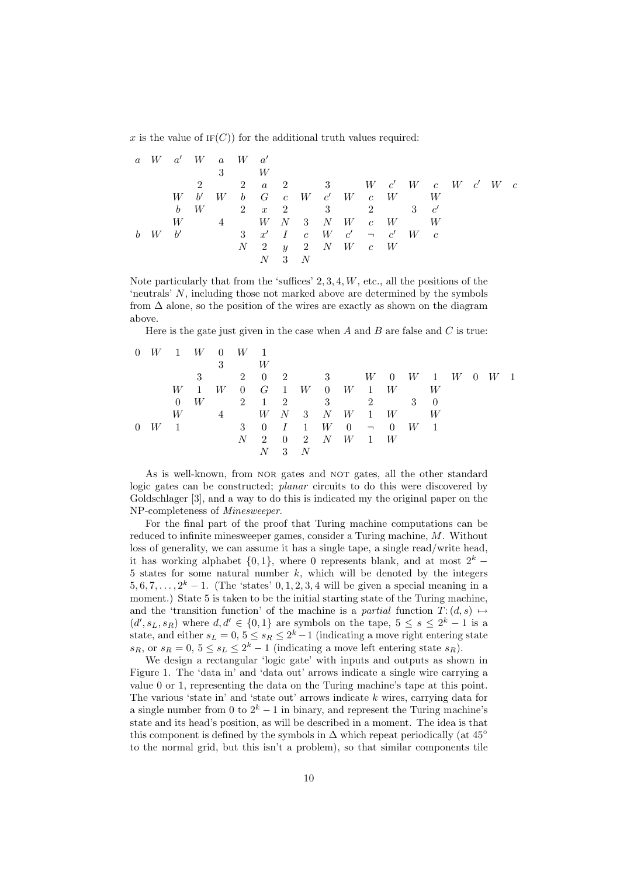x is the value of  $IF(C)$  for the additional truth values required:

|   |   |       |   | $a \quad W \quad a' \quad W \quad a \quad W \quad a'$                                          |   |           |     |   |  |                                                                                   |  |   |  |  |
|---|---|-------|---|------------------------------------------------------------------------------------------------|---|-----------|-----|---|--|-----------------------------------------------------------------------------------|--|---|--|--|
|   |   |       |   | 3                                                                                              |   | W         |     |   |  |                                                                                   |  |   |  |  |
|   |   |       |   |                                                                                                |   |           |     |   |  | 2 a 2 3 W c' W c W c' W c                                                         |  |   |  |  |
|   |   |       |   | $W \quad b' \quad W \quad b \quad G \quad c \quad W \quad c' \quad W \quad c \quad W \qquad W$ |   |           |     |   |  |                                                                                   |  |   |  |  |
|   |   | h     | W |                                                                                                |   | 2 $x$ 2 3 |     |   |  | 2 3 $c'$                                                                          |  |   |  |  |
|   |   | W     |   |                                                                                                |   |           |     |   |  | $W$ N 3 N W $c$ W                                                                 |  | W |  |  |
| b | W | $-b'$ |   |                                                                                                |   |           |     |   |  | $3 \quad x' \quad I \quad c \quad W \quad c' \quad \neg \quad c' \quad W \quad c$ |  |   |  |  |
|   |   |       |   |                                                                                                | N |           |     |   |  | $2 \quad y \quad 2 \quad N \quad W \quad c \quad W$                               |  |   |  |  |
|   |   |       |   |                                                                                                |   | N         | - 3 | N |  |                                                                                   |  |   |  |  |

Note particularly that from the 'suffices'  $2, 3, 4, W$ , etc., all the positions of the 'neutrals' N, including those not marked above are determined by the symbols from  $\Delta$  alone, so the position of the wires are exactly as shown on the diagram above.

Here is the gate just given in the case when  $A$  and  $B$  are false and  $C$  is true:

|          |   |                                        |                | $0 \quad W \quad 1 \quad W \quad 0 \quad W \quad 1$ |   |                             |    |     |                                        |                |     |   |  |                         |  |
|----------|---|----------------------------------------|----------------|-----------------------------------------------------|---|-----------------------------|----|-----|----------------------------------------|----------------|-----|---|--|-------------------------|--|
|          |   |                                        |                | 3                                                   |   | W                           |    |     |                                        |                |     |   |  |                         |  |
|          |   |                                        |                |                                                     |   |                             |    |     |                                        |                |     |   |  | 2 0 2 3 W 0 W 1 W 0 W 1 |  |
|          |   | W                                      | $\overline{1}$ |                                                     |   |                             |    |     | $W$ 0 $G$ 1 $W$ 0 $W$ 1 $W$            |                |     | W |  |                         |  |
|          |   | $\Omega$                               | W              |                                                     |   | $2 \quad 1 \quad 2 \quad 3$ |    |     |                                        | $\overline{2}$ | 3 0 |   |  |                         |  |
|          |   | W                                      |                |                                                     |   |                             |    |     | $W$ N 3 N W 1 W                        |                |     | W |  |                         |  |
| $\theta$ | W | $\begin{array}{ccc} & 1 & \end{array}$ |                | 3 0 <i>I</i> 1 <i>W</i> 0 - 0 <i>W</i> 1            |   |                             |    |     |                                        |                |     |   |  |                         |  |
|          |   |                                        |                |                                                     | N | 2                           |    |     | $0\quad 2\quad N\quad W\quad 1\quad W$ |                |     |   |  |                         |  |
|          |   |                                        |                |                                                     |   | N                           | -3 | - N |                                        |                |     |   |  |                         |  |

As is well-known, from NOR gates and NOT gates, all the other standard logic gates can be constructed; planar circuits to do this were discovered by Goldschlager [3], and a way to do this is indicated my the original paper on the NP-completeness of Minesweeper.

For the final part of the proof that Turing machine computations can be reduced to infinite minesweeper games, consider a Turing machine, M. Without loss of generality, we can assume it has a single tape, a single read/write head, it has working alphabet  $\{0, 1\}$ , where 0 represents blank, and at most  $2^k$  − 5 states for some natural number  $k$ , which will be denoted by the integers  $5, 6, 7, \ldots, 2^k - 1$ . (The 'states' 0, 1, 2, 3, 4 will be given a special meaning in a moment.) State 5 is taken to be the initial starting state of the Turing machine, and the 'transition function' of the machine is a partial function  $T: (d, s) \mapsto$  $(d', s<sub>L</sub>, s<sub>R</sub>)$  where  $d, d' \in \{0, 1\}$  are symbols on the tape,  $5 \leq s \leq 2^k - 1$  is a state, and either  $s_L = 0, 5 \leq s_R \leq 2^k - 1$  (indicating a move right entering state  $s_R$ , or  $s_R = 0$ ,  $5 \le s_L \le 2^k - 1$  (indicating a move left entering state  $s_R$ ).

We design a rectangular 'logic gate' with inputs and outputs as shown in Figure 1. The 'data in' and 'data out' arrows indicate a single wire carrying a value 0 or 1, representing the data on the Turing machine's tape at this point. The various 'state in' and 'state out' arrows indicate  $k$  wires, carrying data for a single number from 0 to  $2^k - 1$  in binary, and represent the Turing machine's state and its head's position, as will be described in a moment. The idea is that this component is defined by the symbols in  $\Delta$  which repeat periodically (at 45<sup>°</sup> to the normal grid, but this isn't a problem), so that similar components tile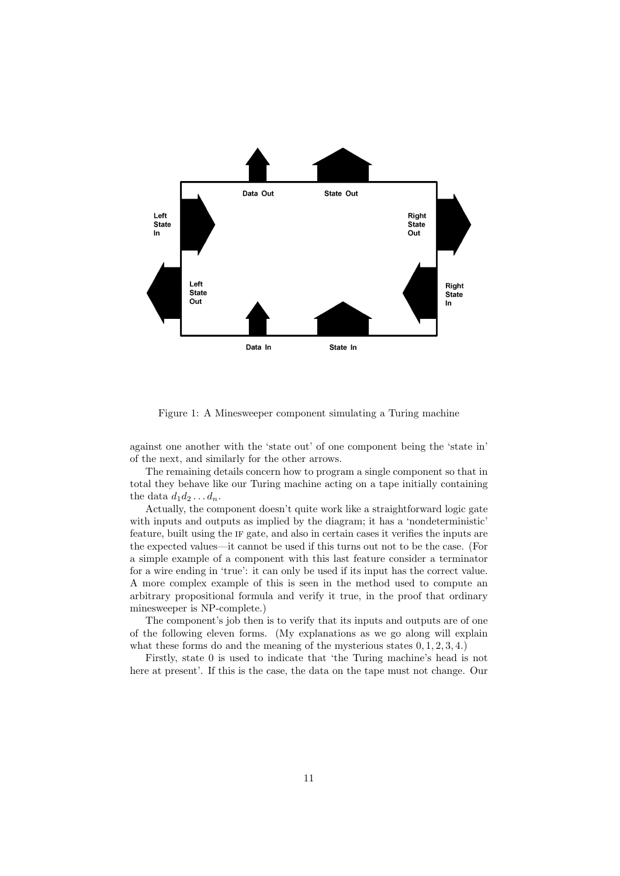

Figure 1: A Minesweeper component simulating a Turing machine

against one another with the 'state out' of one component being the 'state in' of the next, and similarly for the other arrows.

The remaining details concern how to program a single component so that in total they behave like our Turing machine acting on a tape initially containing the data  $d_1 d_2 \ldots d_n$ .

Actually, the component doesn't quite work like a straightforward logic gate with inputs and outputs as implied by the diagram; it has a 'nondeterministic' feature, built using the if gate, and also in certain cases it verifies the inputs are the expected values—it cannot be used if this turns out not to be the case. (For a simple example of a component with this last feature consider a terminator for a wire ending in 'true': it can only be used if its input has the correct value. A more complex example of this is seen in the method used to compute an arbitrary propositional formula and verify it true, in the proof that ordinary minesweeper is NP-complete.)

The component's job then is to verify that its inputs and outputs are of one of the following eleven forms. (My explanations as we go along will explain what these forms do and the meaning of the mysterious states  $(0, 1, 2, 3, 4)$ .

Firstly, state 0 is used to indicate that 'the Turing machine's head is not here at present'. If this is the case, the data on the tape must not change. Our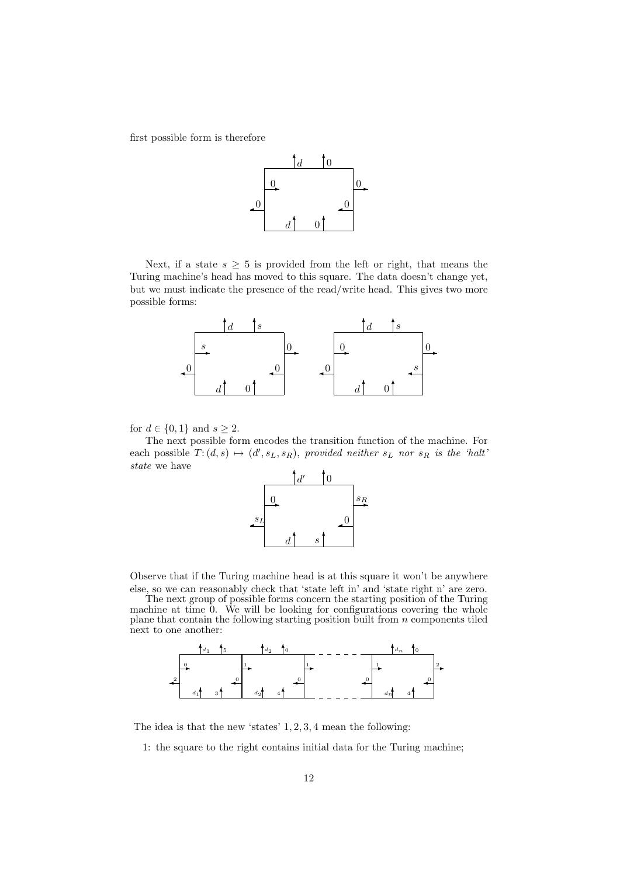first possible form is therefore



Next, if a state  $s \geq 5$  is provided from the left or right, that means the Turing machine's head has moved to this square. The data doesn't change yet, but we must indicate the presence of the read/write head. This gives two more possible forms:



for  $d \in \{0, 1\}$  and  $s \geq 2$ .

The next possible form encodes the transition function of the machine. For each possible  $T: (d, s) \mapsto (d', s_L, s_R)$ , provided neither  $s_L$  nor  $s_R$  is the 'halt' state we have



Observe that if the Turing machine head is at this square it won't be anywhere else, so we can reasonably check that 'state left in' and 'state right n' are zero.

The next group of possible forms concern the starting position of the Turing machine at time  $\overline{0}$ . We will be looking for configurations covering the whole plane that contain the following starting position built from n components tiled next to one another:



The idea is that the new 'states' 1, 2, 3, 4 mean the following:

1: the square to the right contains initial data for the Turing machine;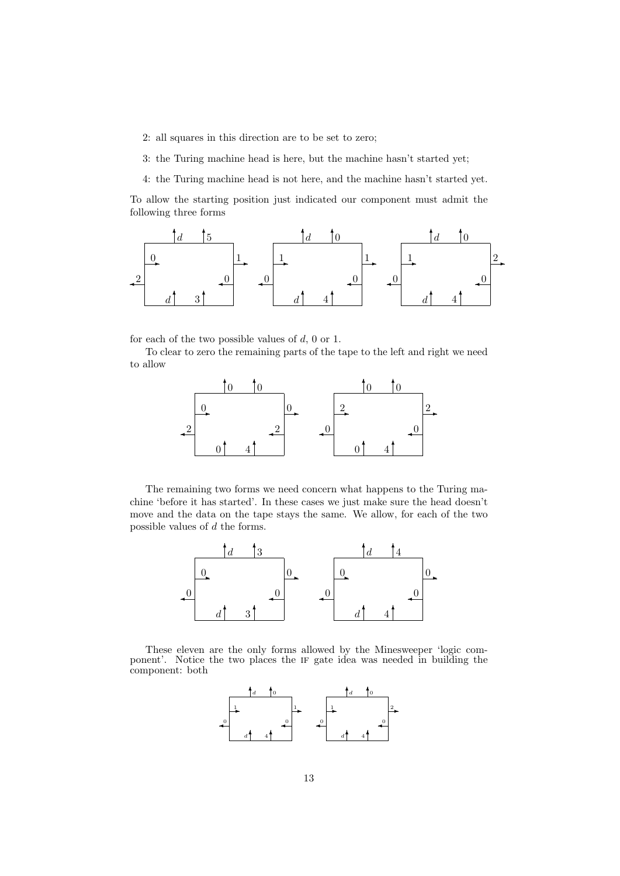2: all squares in this direction are to be set to zero;

3: the Turing machine head is here, but the machine hasn't started yet;

4: the Turing machine head is not here, and the machine hasn't started yet.

To allow the starting position just indicated our component must admit the following three forms



for each of the two possible values of  $d$ , 0 or 1.

To clear to zero the remaining parts of the tape to the left and right we need to allow



The remaining two forms we need concern what happens to the Turing machine 'before it has started'. In these cases we just make sure the head doesn't move and the data on the tape stays the same. We allow, for each of the two possible values of d the forms.



These eleven are the only forms allowed by the Minesweeper 'logic component'. Notice the two places the if gate idea was needed in building the component: both

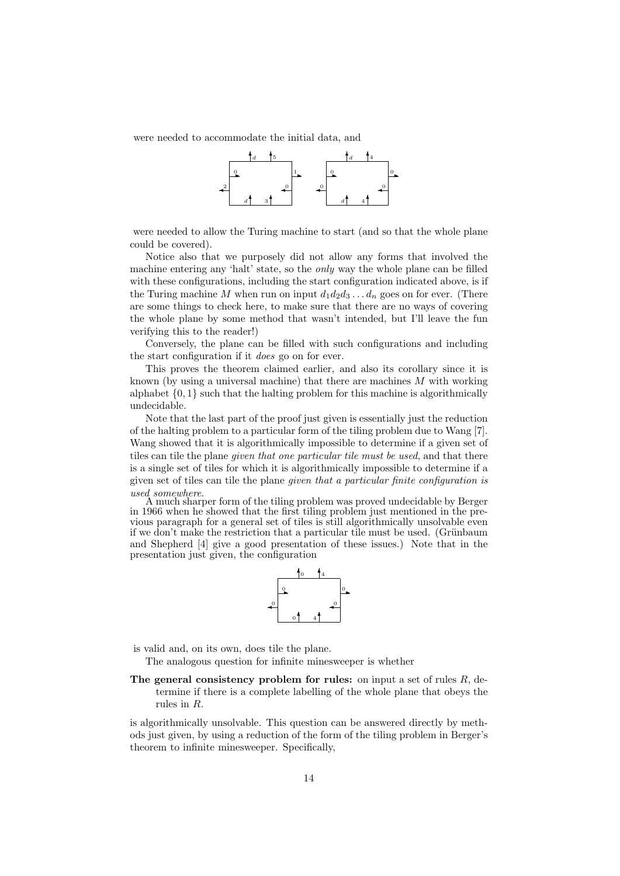were needed to accommodate the initial data, and



were needed to allow the Turing machine to start (and so that the whole plane could be covered).

Notice also that we purposely did not allow any forms that involved the machine entering any 'halt' state, so the only way the whole plane can be filled with these configurations, including the start configuration indicated above, is if the Turing machine M when run on input  $d_1d_2d_3 \ldots d_n$  goes on for ever. (There are some things to check here, to make sure that there are no ways of covering the whole plane by some method that wasn't intended, but I'll leave the fun verifying this to the reader!)

Conversely, the plane can be filled with such configurations and including the start configuration if it does go on for ever.

This proves the theorem claimed earlier, and also its corollary since it is known (by using a universal machine) that there are machines  $M$  with working alphabet  $\{0, 1\}$  such that the halting problem for this machine is algorithmically undecidable.

Note that the last part of the proof just given is essentially just the reduction of the halting problem to a particular form of the tiling problem due to Wang [7]. Wang showed that it is algorithmically impossible to determine if a given set of tiles can tile the plane *given that one particular tile must be used*, and that there is a single set of tiles for which it is algorithmically impossible to determine if a given set of tiles can tile the plane given that a particular finite configuration is used somewhere.

A much sharper form of the tiling problem was proved undecidable by Berger in 1966 when he showed that the first tiling problem just mentioned in the previous paragraph for a general set of tiles is still algorithmically unsolvable even if we don't make the restriction that a particular tile must be used. (Grünbaum and Shepherd [4] give a good presentation of these issues.) Note that in the presentation just given, the configuration



is valid and, on its own, does tile the plane.

The analogous question for infinite minesweeper is whether

The general consistency problem for rules: on input a set of rules  $R$ , determine if there is a complete labelling of the whole plane that obeys the rules in R.

is algorithmically unsolvable. This question can be answered directly by methods just given, by using a reduction of the form of the tiling problem in Berger's theorem to infinite minesweeper. Specifically,